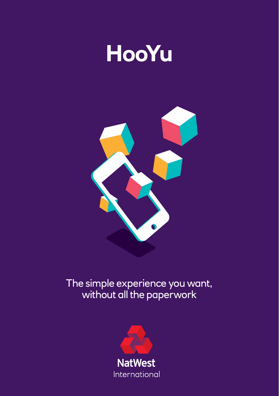# **HooYu**



## The simple experience you want, without all the paperwork

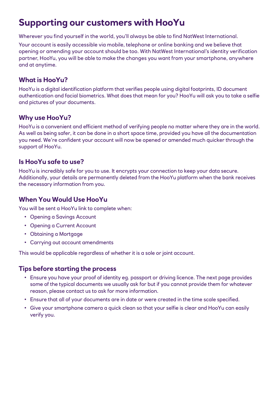### **Supporting our customers with HooYu**

Wherever you find yourself in the world, you'll always be able to find NatWest International.

Your account is easily accessible via mobile, telephone or online banking and we believe that opening or amending your account should be too. With NatWest International's identity verification partner, HooYu, you will be able to make the changes you want from your smartphone, anywhere and at anytime.

#### **What is HooYu?**

HooYu is a digital identification platform that verifies people using digital footprints, ID document authentication and facial biometrics. What does that mean for you? HooYu will ask you to take a selfie and pictures of your documents.

#### **Why use HooYu?**

HooYu is a convenient and efficient method of verifying people no matter where they are in the world. As well as being safer, it can be done in a short space time, provided you have all the documentation you need. We're confident your account will now be opened or amended much quicker through the support of HooYu.

#### **Is HooYu safe to use?**

HooYu is incredibly safe for you to use. It encrypts your connection to keep your data secure. Additionally, your details are permanently deleted from the HooYu platform when the bank receives the necessary information from you.

#### **When You Would Use HooYu**

You will be sent a HooYu link to complete when:

- Opening a Savings Account
- Opening a Current Account
- Obtaining a Mortgage
- Carrying out account amendments

This would be applicable regardless of whether it is a sole or joint account.

#### **Tips before starting the process**

- Ensure you have your proof of identity eg. passport or driving licence. The next page provides some of the typical documents we usually ask for but if you cannot provide them for whatever reason, please contact us to ask for more information.
- Ensure that all of your documents are in date or were created in the time scale specified.
- Give your smartphone camera a quick clean so that your selfie is clear and HooYu can easily verify you.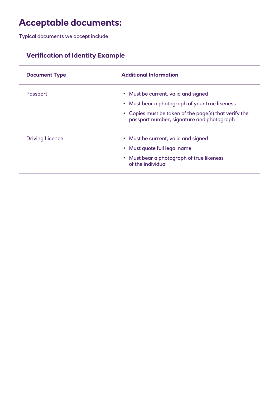## **Acceptable documents:**

Typical documents we accept include:

#### **Verification of Identity Example**

| <b>Document Type</b>   | <b>Additional Information</b>                                                                      |
|------------------------|----------------------------------------------------------------------------------------------------|
| Passport               | • Must be current, valid and signed                                                                |
|                        | • Must bear a photograph of your true likeness                                                     |
|                        | • Copies must be taken of the page(s) that verify the<br>passport number, signature and photograph |
| <b>Driving Licence</b> | • Must be current, valid and signed                                                                |
|                        | • Must quote full legal name                                                                       |
|                        | • Must bear a photograph of true likeness<br>of the individual                                     |